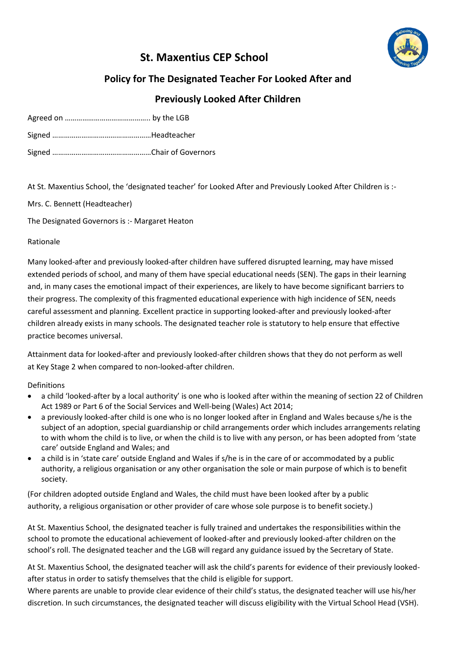# **St. Maxentius CEP School**



# **Policy for The Designated Teacher For Looked After and**

# **Previously Looked After Children**

At St. Maxentius School, the 'designated teacher' for Looked After and Previously Looked After Children is :-

Mrs. C. Bennett (Headteacher)

The Designated Governors is :- Margaret Heaton

Rationale

Many looked-after and previously looked-after children have suffered disrupted learning, may have missed extended periods of school, and many of them have special educational needs (SEN). The gaps in their learning and, in many cases the emotional impact of their experiences, are likely to have become significant barriers to their progress. The complexity of this fragmented educational experience with high incidence of SEN, needs careful assessment and planning. Excellent practice in supporting looked-after and previously looked-after children already exists in many schools. The designated teacher role is statutory to help ensure that effective practice becomes universal.

Attainment data for looked-after and previously looked-after children shows that they do not perform as well at Key Stage 2 when compared to non-looked-after children.

Definitions

- a child 'looked-after by a local authority' is one who is looked after within the meaning of section 22 of Children Act 1989 or Part 6 of the Social Services and Well-being (Wales) Act 2014;
- a previously looked-after child is one who is no longer looked after in England and Wales because s/he is the subject of an adoption, special guardianship or child arrangements order which includes arrangements relating to with whom the child is to live, or when the child is to live with any person, or has been adopted from 'state care' outside England and Wales; and
- a child is in 'state care' outside England and Wales if s/he is in the care of or accommodated by a public authority, a religious organisation or any other organisation the sole or main purpose of which is to benefit society.

(For children adopted outside England and Wales, the child must have been looked after by a public authority, a religious organisation or other provider of care whose sole purpose is to benefit society.)

At St. Maxentius School, the designated teacher is fully trained and undertakes the responsibilities within the school to promote the educational achievement of looked-after and previously looked-after children on the school's roll. The designated teacher and the LGB will regard any guidance issued by the Secretary of State.

At St. Maxentius School, the designated teacher will ask the child's parents for evidence of their previously lookedafter status in order to satisfy themselves that the child is eligible for support.

Where parents are unable to provide clear evidence of their child's status, the designated teacher will use his/her discretion. In such circumstances, the designated teacher will discuss eligibility with the Virtual School Head (VSH).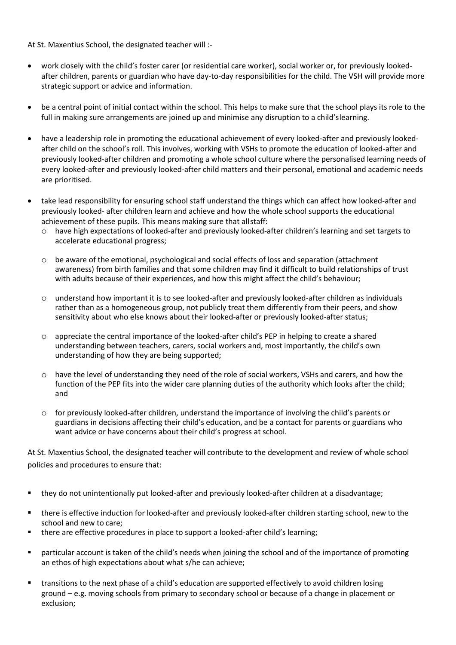At St. Maxentius School, the designated teacher will :-

- work closely with the child's foster carer (or residential care worker), social worker or, for previously lookedafter children, parents or guardian who have day-to-day responsibilities for the child. The VSH will provide more strategic support or advice and information.
- be a central point of initial contact within the school. This helps to make sure that the school plays its role to the full in making sure arrangements are joined up and minimise any disruption to a child'slearning.
- have a leadership role in promoting the educational achievement of every looked-after and previously lookedafter child on the school's roll. This involves, working with VSHs to promote the education of looked-after and previously looked-after children and promoting a whole school culture where the personalised learning needs of every looked-after and previously looked-after child matters and their personal, emotional and academic needs are prioritised.
- take lead responsibility for ensuring school staff understand the things which can affect how looked-after and previously looked- after children learn and achieve and how the whole school supports the educational achievement of these pupils. This means making sure that allstaff:
	- o have high expectations of looked-after and previously looked-after children's learning and set targets to accelerate educational progress;
	- $\circ$  be aware of the emotional, psychological and social effects of loss and separation (attachment awareness) from birth families and that some children may find it difficult to build relationships of trust with adults because of their experiences, and how this might affect the child's behaviour;
	- o understand how important it is to see looked-after and previously looked-after children as individuals rather than as a homogeneous group, not publicly treat them differently from their peers, and show sensitivity about who else knows about their looked-after or previously looked-after status;
	- o appreciate the central importance of the looked-after child's PEP in helping to create a shared understanding between teachers, carers, social workers and, most importantly, the child's own understanding of how they are being supported;
	- o have the level of understanding they need of the role of social workers, VSHs and carers, and how the function of the PEP fits into the wider care planning duties of the authority which looks after the child; and
	- $\circ$  for previously looked-after children, understand the importance of involving the child's parents or guardians in decisions affecting their child's education, and be a contact for parents or guardians who want advice or have concerns about their child's progress at school.

At St. Maxentius School, the designated teacher will contribute to the development and review of whole school policies and procedures to ensure that:

- they do not unintentionally put looked-after and previously looked-after children at a disadvantage;
- there is effective induction for looked-after and previously looked-after children starting school, new to the school and new to care;
- there are effective procedures in place to support a looked-after child's learning;
- particular account is taken of the child's needs when joining the school and of the importance of promoting an ethos of high expectations about what s/he can achieve;
- transitions to the next phase of a child's education are supported effectively to avoid children losing ground – e.g. moving schools from primary to secondary school or because of a change in placement or exclusion;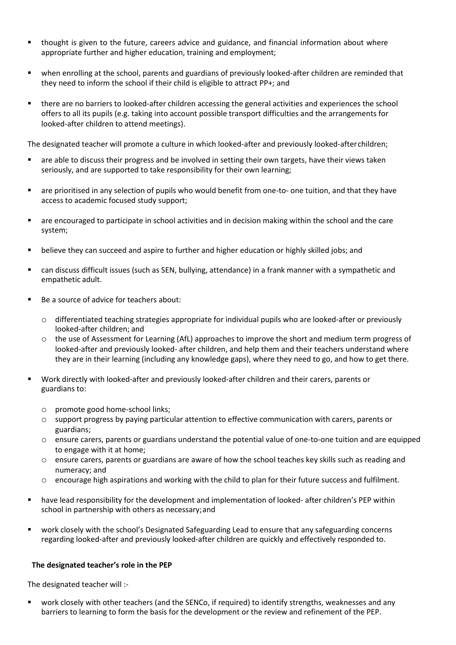- thought is given to the future, careers advice and guidance, and financial information about where appropriate further and higher education, training and employment;
- when enrolling at the school, parents and guardians of previously looked-after children are reminded that they need to inform the school if their child is eligible to attract PP+; and
- there are no barriers to looked-after children accessing the general activities and experiences the school offers to all its pupils (e.g. taking into account possible transport difficulties and the arrangements for looked-after children to attend meetings).

The designated teacher will promote a culture in which looked-after and previously looked-afterchildren;

- are able to discuss their progress and be involved in setting their own targets, have their views taken seriously, and are supported to take responsibility for their own learning;
- are prioritised in any selection of pupils who would benefit from one-to- one tuition, and that they have access to academic focused study support;
- are encouraged to participate in school activities and in decision making within the school and the care system;
- believe they can succeed and aspire to further and higher education or highly skilled jobs; and
- can discuss difficult issues (such as SEN, bullying, attendance) in a frank manner with a sympathetic and empathetic adult.
- Be a source of advice for teachers about:
	- o differentiated teaching strategies appropriate for individual pupils who are looked-after or previously looked-after children; and
	- o the use of Assessment for Learning (AfL) approaches to improve the short and medium term progress of looked-after and previously looked- after children, and help them and their teachers understand where they are in their learning (including any knowledge gaps), where they need to go, and how to get there.
- Work directly with looked-after and previously looked-after children and their carers, parents or guardians to:
	- o promote good home-school links;
	- o support progress by paying particular attention to effective communication with carers, parents or guardians;
	- o ensure carers, parents or guardians understand the potential value of one-to-one tuition and are equipped to engage with it at home;
	- o ensure carers, parents or guardians are aware of how the school teaches key skills such as reading and numeracy; and
	- o encourage high aspirations and working with the child to plan for their future success and fulfilment.
- have lead responsibility for the development and implementation of looked- after children's PEP within school in partnership with others as necessary;and
- work closely with the school's Designated Safeguarding Lead to ensure that any safeguarding concerns regarding looked-after and previously looked-after children are quickly and effectively responded to.

#### **The designated teacher's role in the PEP**

The designated teacher will :-

 work closely with other teachers (and the SENCo, if required) to identify strengths, weaknesses and any barriers to learning to form the basis for the development or the review and refinement of the PEP.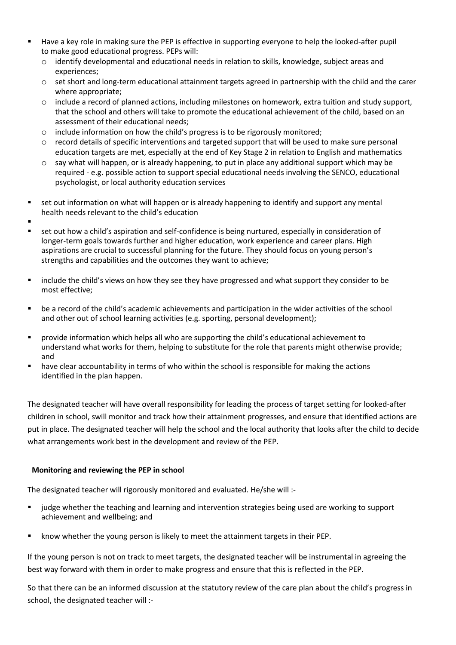- Have a key role in making sure the PEP is effective in supporting everyone to help the looked-after pupil to make good educational progress. PEPs will:
	- o identify developmental and educational needs in relation to skills, knowledge, subject areas and experiences;
	- $\circ$  set short and long-term educational attainment targets agreed in partnership with the child and the carer where appropriate;
	- o include a record of planned actions, including milestones on homework, extra tuition and study support, that the school and others will take to promote the educational achievement of the child, based on an assessment of their educational needs;
	- o include information on how the child's progress is to be rigorously monitored;
	- o record details of specific interventions and targeted support that will be used to make sure personal education targets are met, especially at the end of Key Stage 2 in relation to English and mathematics
	- o say what will happen, or is already happening, to put in place any additional support which may be required - e.g. possible action to support special educational needs involving the SENCO, educational psychologist, or local authority education services
- set out information on what will happen or is already happening to identify and support any mental health needs relevant to the child's education
- .
- set out how a child's aspiration and self-confidence is being nurtured, especially in consideration of longer-term goals towards further and higher education, work experience and career plans. High aspirations are crucial to successful planning for the future. They should focus on young person's strengths and capabilities and the outcomes they want to achieve;
- include the child's views on how they see they have progressed and what support they consider to be most effective;
- be a record of the child's academic achievements and participation in the wider activities of the school and other out of school learning activities (e.g. sporting, personal development);
- provide information which helps all who are supporting the child's educational achievement to understand what works for them, helping to substitute for the role that parents might otherwise provide; and
- have clear accountability in terms of who within the school is responsible for making the actions identified in the plan happen.

The designated teacher will have overall responsibility for leading the process of target setting for looked-after children in school, swill monitor and track how their attainment progresses, and ensure that identified actions are put in place. The designated teacher will help the school and the local authority that looks after the child to decide what arrangements work best in the development and review of the PEP.

# **Monitoring and reviewing the PEP in school**

The designated teacher will rigorously monitored and evaluated. He/she will :-

- judge whether the teaching and learning and intervention strategies being used are working to support achievement and wellbeing; and
- **EXECT** know whether the young person is likely to meet the attainment targets in their PEP.

If the young person is not on track to meet targets, the designated teacher will be instrumental in agreeing the best way forward with them in order to make progress and ensure that this is reflected in the PEP.

So that there can be an informed discussion at the statutory review of the care plan about the child's progress in school, the designated teacher will :-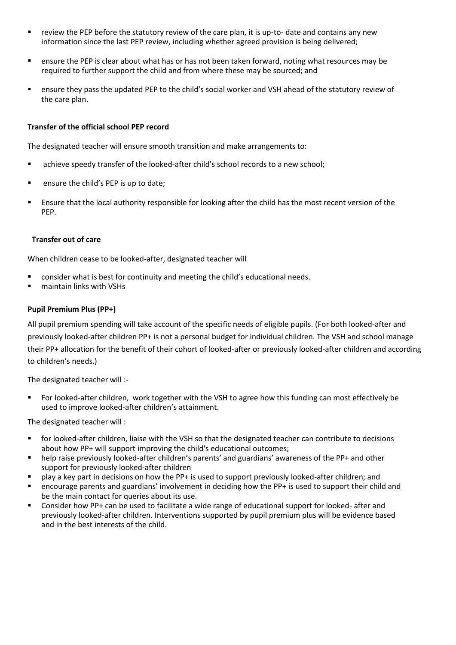- review the PEP before the statutory review of the care plan, it is up-to- date and contains any new information since the last PEP review, including whether agreed provision is being delivered;
- ensure the PEP is clear about what has or has not been taken forward, noting what resources may be required to further support the child and from where these may be sourced; and
- ensure they pass the updated PEP to the child's social worker and VSH ahead of the statutory review of the care plan.

#### T**ransfer of the official school PEP record**

The designated teacher will ensure smooth transition and make arrangements to:

- achieve speedy transfer of the looked-after child's school records to a new school;
- ensure the child's PEP is up to date;
- Ensure that the local authority responsible for looking after the child has the most recent version of the PEP.

#### **Transfer out of care**

When children cease to be looked-after, designated teacher will

- consider what is best for continuity and meeting the child's educational needs.
- maintain links with VSHs

### **Pupil Premium Plus (PP+)**

All pupil premium spending will take account of the specific needs of eligible pupils. (For both looked-after and previously looked-after children PP+ is not a personal budget for individual children. The VSH and school manage their PP+ allocation for the benefit of their cohort of looked-after or previously looked-after children and according to children's needs.)

The designated teacher will :-

 For looked-after children, work together with the VSH to agree how this funding can most effectively be used to improve looked-after children's attainment.

The designated teacher will :

- for looked-after children, liaise with the VSH so that the designated teacher can contribute to decisions about how PP+ will support improving the child's educational outcomes;
- help raise previously looked-after children's parents' and guardians' awareness of the PP+ and other support for previously looked-after children
- play a key part in decisions on how the PP+ is used to support previously looked-after children; and
- encourage parents and guardians' involvement in deciding how the PP+ is used to support their child and be the main contact for queries about its use.
- Consider how PP+ can be used to facilitate a wide range of educational support for looked- after and previously looked-after children. Interventions supported by pupil premium plus will be evidence based and in the best interests of the child.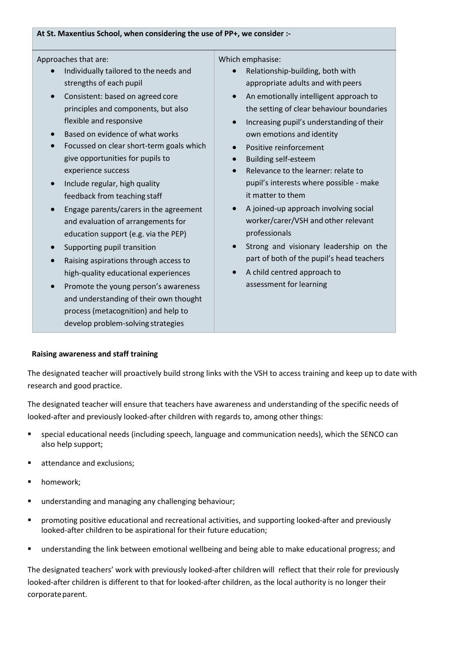#### **At St. Maxentius School, when considering the use of PP+, we consider :-**

Approaches that are:

- Individually tailored to the needs and strengths of each pupil
- Consistent: based on agreed core principles and components, but also flexible and responsive
- Based on evidence of what works
- Focussed on clear short-term goals which give opportunities for pupils to experience success
- Include regular, high quality feedback from teaching staff
- Engage parents/carers in the agreement and evaluation of arrangements for education support (e.g. via the PEP)
- Supporting pupil transition
- Raising aspirations through access to high-quality educational experiences
- Promote the young person's awareness and understanding of their own thought process (metacognition) and help to develop problem-solving strategies

Which emphasise:

- Relationship-building, both with appropriate adults and with peers
- An emotionally intelligent approach to the setting of clear behaviour boundaries
- Increasing pupil's understanding of their own emotions and identity
- Positive reinforcement
- Building self-esteem
- Relevance to the learner: relate to pupil's interests where possible - make it matter to them
- A joined-up approach involving social worker/carer/VSH and other relevant professionals
- Strong and visionary leadership on the part of both of the pupil's head teachers
- A child centred approach to assessment for learning

#### **Raising awareness and staff training**

The designated teacher will proactively build strong links with the VSH to access training and keep up to date with research and good practice.

The designated teacher will ensure that teachers have awareness and understanding of the specific needs of looked-after and previously looked-after children with regards to, among other things:

- special educational needs (including speech, language and communication needs), which the SENCO can also help support;
- attendance and exclusions;
- homework;
- understanding and managing any challenging behaviour;
- promoting positive educational and recreational activities, and supporting looked-after and previously looked-after children to be aspirational for their future education;
- understanding the link between emotional wellbeing and being able to make educational progress; and

The designated teachers' work with previously looked-after children will reflect that their role for previously looked-after children is different to that for looked-after children, as the local authority is no longer their corporate parent.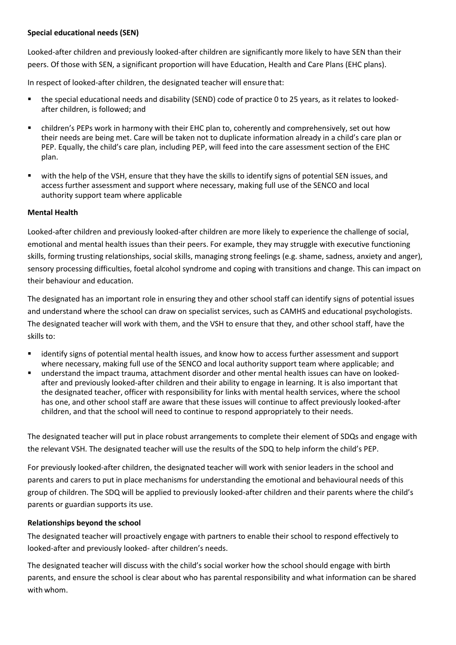# **Special educational needs (SEN)**

Looked-after children and previously looked-after children are significantly more likely to have SEN than their peers. Of those with SEN, a significant proportion will have Education, Health and Care Plans (EHC plans).

In respect of looked-after children, the designated teacher will ensure that:

- the special educational needs and disability (SEND) code of practice 0 to 25 years, as it relates to lookedafter children, is followed; and
- children's PEPs work in harmony with their EHC plan to, coherently and comprehensively, set out how their needs are being met. Care will be taken not to duplicate information already in a child's care plan or PEP. Equally, the child's care plan, including PEP, will feed into the care assessment section of the EHC plan.
- with the help of the VSH, ensure that they have the skills to identify signs of potential SEN issues, and access further assessment and support where necessary, making full use of the SENCO and local authority support team where applicable

# **Mental Health**

Looked-after children and previously looked-after children are more likely to experience the challenge of social, emotional and mental health issues than their peers. For example, they may struggle with executive functioning skills, forming trusting relationships, social skills, managing strong feelings (e.g. shame, sadness, anxiety and anger), sensory processing difficulties, foetal alcohol syndrome and coping with transitions and change. This can impact on their behaviour and education.

The designated has an important role in ensuring they and other school staff can identify signs of potential issues and understand where the school can draw on specialist services, such as CAMHS and educational psychologists. The designated teacher will work with them, and the VSH to ensure that they, and other school staff, have the skills to:

- identify signs of potential mental health issues, and know how to access further assessment and support where necessary, making full use of the SENCO and local authority support team where applicable; and
- understand the impact trauma, attachment disorder and other mental health issues can have on lookedafter and previously looked-after children and their ability to engage in learning. It is also important that the designated teacher, officer with responsibility for links with mental health services, where the school has one, and other school staff are aware that these issues will continue to affect previously looked-after children, and that the school will need to continue to respond appropriately to their needs.

The designated teacher will put in place robust arrangements to complete their element of SDQs and engage with the relevant VSH. The designated teacher will use the results of the SDQ to help inform the child's PEP.

For previously looked-after children, the designated teacher will work with senior leaders in the school and parents and carers to put in place mechanisms for understanding the emotional and behavioural needs of this group of children. The SDQ will be applied to previously looked-after children and their parents where the child's parents or guardian supports its use.

# **Relationships beyond the school**

The designated teacher will proactively engage with partners to enable their school to respond effectively to looked-after and previously looked- after children's needs.

The designated teacher will discuss with the child's social worker how the school should engage with birth parents, and ensure the school is clear about who has parental responsibility and what information can be shared with whom.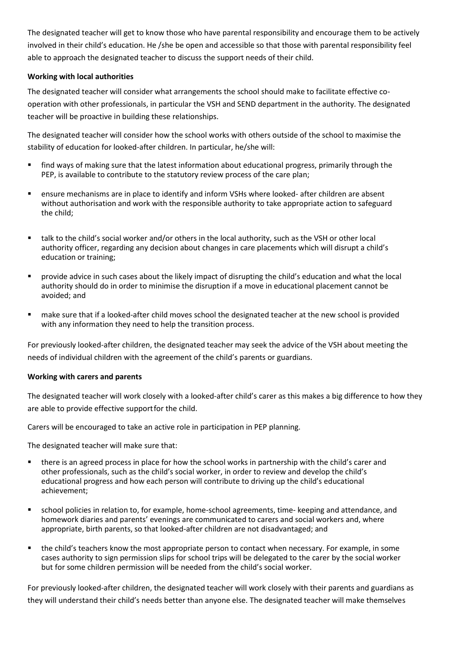The designated teacher will get to know those who have parental responsibility and encourage them to be actively involved in their child's education. He /she be open and accessible so that those with parental responsibility feel able to approach the designated teacher to discuss the support needs of their child.

## **Working with local authorities**

The designated teacher will consider what arrangements the school should make to facilitate effective cooperation with other professionals, in particular the VSH and SEND department in the authority. The designated teacher will be proactive in building these relationships.

The designated teacher will consider how the school works with others outside of the school to maximise the stability of education for looked-after children. In particular, he/she will:

- find ways of making sure that the latest information about educational progress, primarily through the PEP, is available to contribute to the statutory review process of the care plan;
- ensure mechanisms are in place to identify and inform VSHs where looked- after children are absent without authorisation and work with the responsible authority to take appropriate action to safeguard the child;
- talk to the child's social worker and/or others in the local authority, such as the VSH or other local authority officer, regarding any decision about changes in care placements which will disrupt a child's education or training;
- **P** provide advice in such cases about the likely impact of disrupting the child's education and what the local authority should do in order to minimise the disruption if a move in educational placement cannot be avoided; and
- make sure that if a looked-after child moves school the designated teacher at the new school is provided with any information they need to help the transition process.

For previously looked-after children, the designated teacher may seek the advice of the VSH about meeting the needs of individual children with the agreement of the child's parents or guardians.

#### **Working with carers and parents**

The designated teacher will work closely with a looked-after child's carer as this makes a big difference to how they are able to provide effective supportfor the child.

Carers will be encouraged to take an active role in participation in PEP planning.

The designated teacher will make sure that:

- there is an agreed process in place for how the school works in partnership with the child's carer and other professionals, such as the child's social worker, in order to review and develop the child's educational progress and how each person will contribute to driving up the child's educational achievement;
- school policies in relation to, for example, home-school agreements, time- keeping and attendance, and homework diaries and parents' evenings are communicated to carers and social workers and, where appropriate, birth parents, so that looked-after children are not disadvantaged; and
- the child's teachers know the most appropriate person to contact when necessary. For example, in some cases authority to sign permission slips for school trips will be delegated to the carer by the social worker but for some children permission will be needed from the child's social worker.

For previously looked-after children, the designated teacher will work closely with their parents and guardians as they will understand their child's needs better than anyone else. The designated teacher will make themselves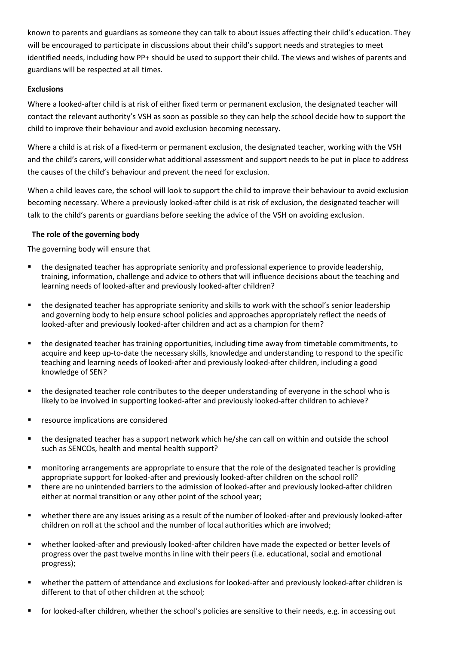known to parents and guardians as someone they can talk to about issues affecting their child's education. They will be encouraged to participate in discussions about their child's support needs and strategies to meet identified needs, including how PP+ should be used to support their child. The views and wishes of parents and guardians will be respected at all times.

## **Exclusions**

Where a looked-after child is at risk of either fixed term or permanent exclusion, the designated teacher will contact the relevant authority's VSH as soon as possible so they can help the school decide how to support the child to improve their behaviour and avoid exclusion becoming necessary.

Where a child is at risk of a fixed-term or permanent exclusion, the designated teacher, working with the VSH and the child's carers, will considerwhat additional assessment and support needs to be put in place to address the causes of the child's behaviour and prevent the need for exclusion.

When a child leaves care, the school will look to support the child to improve their behaviour to avoid exclusion becoming necessary. Where a previously looked-after child is at risk of exclusion, the designated teacher will talk to the child's parents or guardians before seeking the advice of the VSH on avoiding exclusion.

# **The role of the governing body**

The governing body will ensure that

- the designated teacher has appropriate seniority and professional experience to provide leadership, training, information, challenge and advice to others that will influence decisions about the teaching and learning needs of looked-after and previously looked-after children?
- the designated teacher has appropriate seniority and skills to work with the school's senior leadership and governing body to help ensure school policies and approaches appropriately reflect the needs of looked-after and previously looked-after children and act as a champion for them?
- the designated teacher has training opportunities, including time away from timetable commitments, to acquire and keep up-to-date the necessary skills, knowledge and understanding to respond to the specific teaching and learning needs of looked-after and previously looked-after children, including a good knowledge of SEN?
- the designated teacher role contributes to the deeper understanding of everyone in the school who is likely to be involved in supporting looked-after and previously looked-after children to achieve?
- resource implications are considered
- the designated teacher has a support network which he/she can call on within and outside the school such as SENCOs, health and mental health support?
- monitoring arrangements are appropriate to ensure that the role of the designated teacher is providing appropriate support for looked-after and previously looked-after children on the school roll?
- there are no unintended barriers to the admission of looked-after and previously looked-after children either at normal transition or any other point of the school year;
- whether there are any issues arising as a result of the number of looked-after and previously looked-after children on roll at the school and the number of local authorities which are involved;
- whether looked-after and previously looked-after children have made the expected or better levels of progress over the past twelve months in line with their peers (i.e. educational, social and emotional progress);
- whether the pattern of attendance and exclusions for looked-after and previously looked-after children is different to that of other children at the school;
- for looked-after children, whether the school's policies are sensitive to their needs, e.g. in accessing out